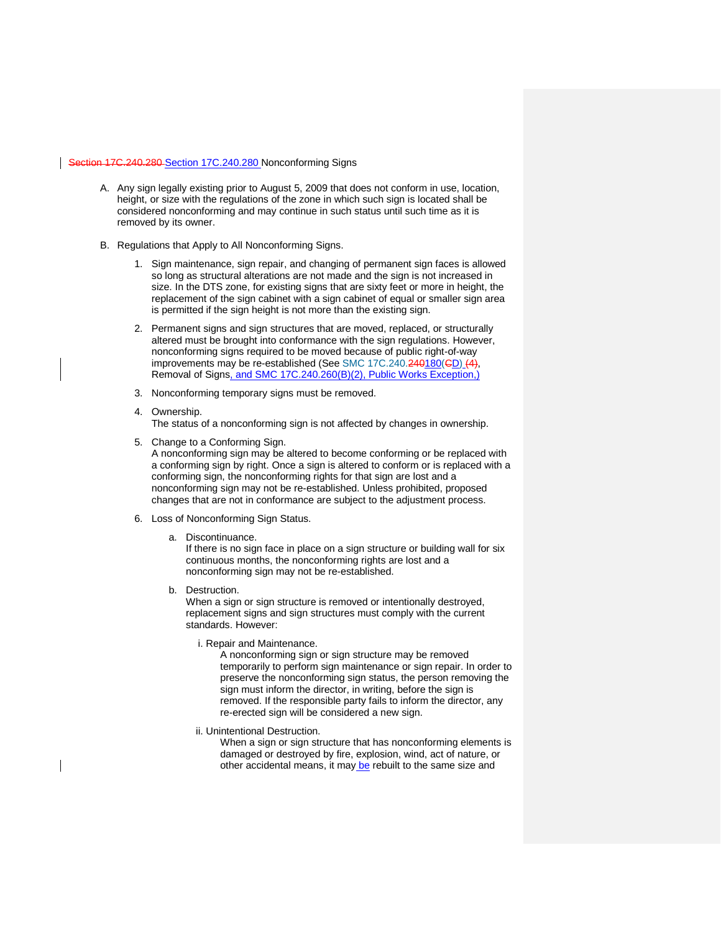## Section 17C.240.280 [Section 17C.240.280](https://my.spokanecity.org/smc/?Section=17C.240.280) Nonconforming Signs

- A. Any sign legally existing prior to August 5, 2009 that does not conform in use, location, height, or size with the regulations of the zone in which such sign is located shall be considered nonconforming and may continue in such status until such time as it is removed by its owner.
- B. Regulations that Apply to All Nonconforming Signs.
	- 1. Sign maintenance, sign repair, and changing of permanent sign faces is allowed so long as structural alterations are not made and the sign is not increased in size. In the DTS zone, for existing signs that are sixty feet or more in height, the replacement of the sign cabinet with a sign cabinet of equal or smaller sign area is permitted if the sign height is not more than the existing sign.
	- 2. Permanent signs and sign structures that are moved, replaced, or structurally altered must be brought into conformance with the sign regulations. However, nonconforming signs required to be moved because of public right-of-way improvements may be re-established (See [SMC 17C.240.240180\(CD\)](https://my.spokanecity.org/smc/?Section=17C.240.240) (4), Removal of Signs, and SMC 17C.240.260(B)(2), Public Works Exception,)
	- 3. Nonconforming temporary signs must be removed.
	- 4. Ownership.

The status of a nonconforming sign is not affected by changes in ownership.

- 5. Change to a Conforming Sign. A nonconforming sign may be altered to become conforming or be replaced with a conforming sign by right. Once a sign is altered to conform or is replaced with a conforming sign, the nonconforming rights for that sign are lost and a nonconforming sign may not be re-established. Unless prohibited, proposed changes that are not in conformance are subject to the adjustment process.
- 6. Loss of Nonconforming Sign Status.
	- a. Discontinuance.

If there is no sign face in place on a sign structure or building wall for six continuous months, the nonconforming rights are lost and a nonconforming sign may not be re-established.

b. Destruction.

When a sign or sign structure is removed or intentionally destroyed, replacement signs and sign structures must comply with the current standards. However:

i. Repair and Maintenance.

A nonconforming sign or sign structure may be removed temporarily to perform sign maintenance or sign repair. In order to preserve the nonconforming sign status, the person removing the sign must inform the director, in writing, before the sign is removed. If the responsible party fails to inform the director, any re-erected sign will be considered a new sign.

ii. Unintentional Destruction.

When a sign or sign structure that has nonconforming elements is damaged or destroyed by fire, explosion, wind, act of nature, or other accidental means, it may be rebuilt to the same size and